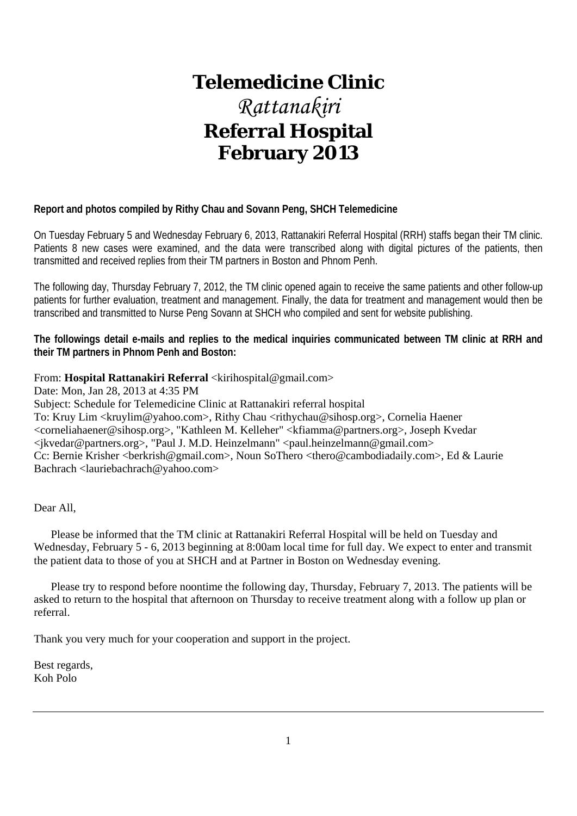# **Telemedicine Clinic** *Rattanakiri*  **Referral Hospital February 2013**

# **Report and photos compiled by Rithy Chau and Sovann Peng, SHCH Telemedicine**

On Tuesday February 5 and Wednesday February 6, 2013, Rattanakiri Referral Hospital (RRH) staffs began their TM clinic. Patients 8 new cases were examined, and the data were transcribed along with digital pictures of the patients, then transmitted and received replies from their TM partners in Boston and Phnom Penh.

The following day, Thursday February 7, 2012, the TM clinic opened again to receive the same patients and other follow-up patients for further evaluation, treatment and management. Finally, the data for treatment and management would then be transcribed and transmitted to Nurse Peng Sovann at SHCH who compiled and sent for website publishing.

**The followings detail e-mails and replies to the medical inquiries communicated between TM clinic at RRH and their TM partners in Phnom Penh and Boston:** 

# From: **Hospital Rattanakiri Referral** <kirihospital@gmail.com>

Date: Mon, Jan 28, 2013 at 4:35 PM

Subject: Schedule for Telemedicine Clinic at Rattanakiri referral hospital To: Kruy Lim <kruylim@yahoo.com>, Rithy Chau <rithychau@sihosp.org>, Cornelia Haener <corneliahaener@sihosp.org>, "Kathleen M. Kelleher" <kfiamma@partners.org>, Joseph Kvedar  $\langle$  ikvedar@partners.org>, "Paul J. M.D. Heinzelmann"  $\langle$  paul.heinzelmann@gmail.com> Cc: Bernie Krisher <br/> <br/>berkrish@gmail.com>, Noun SoThero <thero@cambodiadaily.com>, Ed & Laurie Bachrach <lauriebachrach@yahoo.com>

Dear All,

 Please be informed that the TM clinic at Rattanakiri Referral Hospital will be held on Tuesday and Wednesday, February 5 - 6, 2013 beginning at 8:00am local time for full day. We expect to enter and transmit the patient data to those of you at SHCH and at Partner in Boston on Wednesday evening.

 Please try to respond before noontime the following day, Thursday, February 7, 2013. The patients will be asked to return to the hospital that afternoon on Thursday to receive treatment along with a follow up plan or referral.

Thank you very much for your cooperation and support in the project.

Best regards, Koh Polo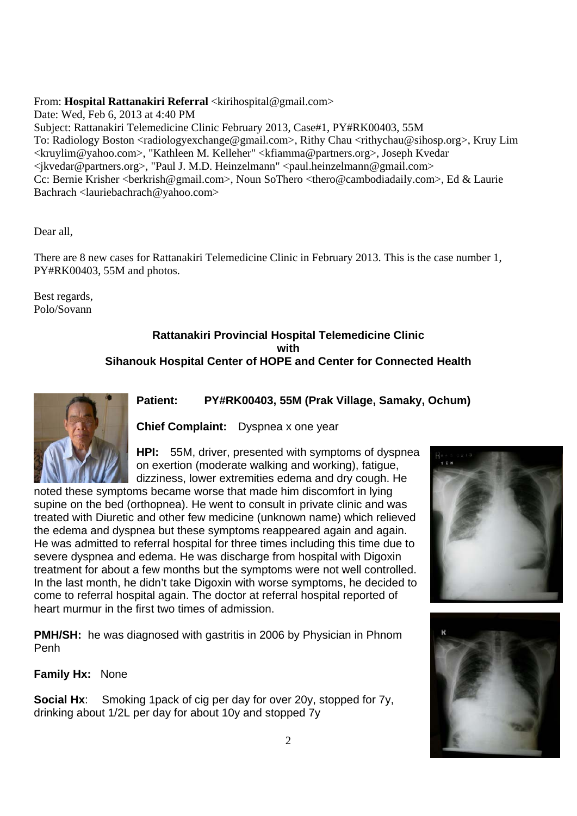# From: **Hospital Rattanakiri Referral** <kirihospital@gmail.com>

Date: Wed, Feb 6, 2013 at 4:40 PM Subject: Rattanakiri Telemedicine Clinic February 2013, Case#1, PY#RK00403, 55M To: Radiology Boston <radiologyexchange@gmail.com>, Rithy Chau <rithychau@sihosp.org>, Kruy Lim <kruylim@yahoo.com>, "Kathleen M. Kelleher" <kfiamma@partners.org>, Joseph Kvedar  $\langle$ ikvedar@partners.org>, "Paul J. M.D. Heinzelmann"  $\langle$ paul.heinzelmann@gmail.com> Cc: Bernie Krisher <br/> <br/>berkrish@gmail.com>, Noun SoThero <thero@cambodiadaily.com>, Ed & Laurie Bachrach <lauriebachrach@yahoo.com>

Dear all,

There are 8 new cases for Rattanakiri Telemedicine Clinic in February 2013. This is the case number 1, PY#RK00403, 55M and photos.

Best regards, Polo/Sovann

# **Rattanakiri Provincial Hospital Telemedicine Clinic with Sihanouk Hospital Center of HOPE and Center for Connected Health**



# **Patient: PY#RK00403, 55M (Prak Village, Samaky, Ochum)**

**Chief Complaint:** Dyspnea x one year

**HPI:** 55M, driver, presented with symptoms of dyspnea on exertion (moderate walking and working), fatigue, dizziness, lower extremities edema and dry cough. He

noted these symptoms became worse that made him discomfort in lying supine on the bed (orthopnea). He went to consult in private clinic and was treated with Diuretic and other few medicine (unknown name) which relieved the edema and dyspnea but these symptoms reappeared again and again. He was admitted to referral hospital for three times including this time due to severe dyspnea and edema. He was discharge from hospital with Digoxin treatment for about a few months but the symptoms were not well controlled. In the last month, he didn't take Digoxin with worse symptoms, he decided to come to referral hospital again. The doctor at referral hospital reported of heart murmur in the first two times of admission.

**PMH/SH:** he was diagnosed with gastritis in 2006 by Physician in Phnom Penh

**Family Hx:** None

**Social Hx**: Smoking 1pack of cig per day for over 20y, stopped for 7y, drinking about 1/2L per day for about 10y and stopped 7y



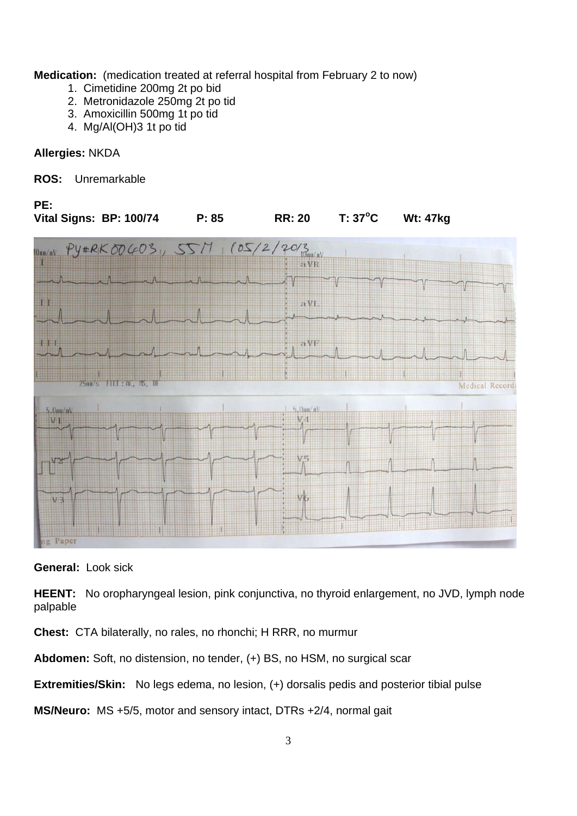**Medication:** (medication treated at referral hospital from February 2 to now)

- 1. Cimetidine 200mg 2t po bid
- 2. Metronidazole 250mg 2t po tid
- 3. Amoxicillin 500mg 1t po tid
- 4. Mg/Al(OH)3 1t po tid

# **Allergies:** NKDA

# **ROS:** Unremarkable



**General:** Look sick

**HEENT:** No oropharyngeal lesion, pink conjunctiva, no thyroid enlargement, no JVD, lymph node palpable

**Chest:** CTA bilaterally, no rales, no rhonchi; H RRR, no murmur

**Abdomen:** Soft, no distension, no tender, (+) BS, no HSM, no surgical scar

**Extremities/Skin:** No legs edema, no lesion, (+) dorsalis pedis and posterior tibial pulse

**MS/Neuro:** MS +5/5, motor and sensory intact, DTRs +2/4, normal gait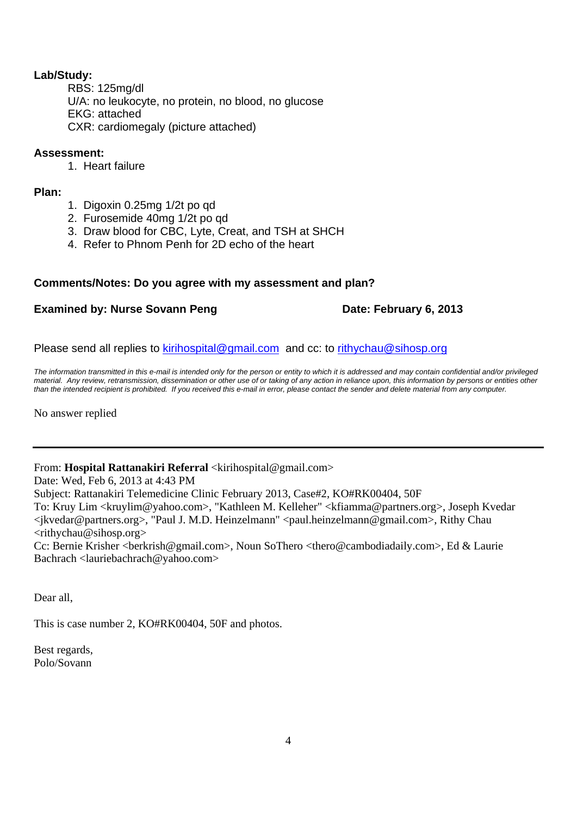# **Lab/Study:**

 RBS: 125mg/dl U/A: no leukocyte, no protein, no blood, no glucose EKG: attached CXR: cardiomegaly (picture attached)

# **Assessment:**

1. Heart failure

# **Plan:**

- 1. Digoxin 0.25mg 1/2t po qd
- 2. Furosemide 40mg 1/2t po qd
- 3. Draw blood for CBC, Lyte, Creat, and TSH at SHCH
- 4. Refer to Phnom Penh for 2D echo of the heart

# **Comments/Notes: Do you agree with my assessment and plan?**

# **Examined by: Nurse Sovann Peng by Examined by: Nurse Sovann Peng by Examined by: Nurse Sovann Peng by Example 2013**

Please send all replies to kirihospital@gmail.com and cc: to rithychau@sihosp.org

*The information transmitted in this e-mail is intended only for the person or entity to which it is addressed and may contain confidential and/or privileged material. Any review, retransmission, dissemination or other use of or taking of any action in reliance upon, this information by persons or entities other than the intended recipient is prohibited. If you received this e-mail in error, please contact the sender and delete material from any computer.*

No answer replied

From: **Hospital Rattanakiri Referral** <kirihospital@gmail.com>

Date: Wed, Feb 6, 2013 at 4:43 PM

Subject: Rattanakiri Telemedicine Clinic February 2013, Case#2, KO#RK00404, 50F

To: Kruy Lim <kruylim@yahoo.com>, "Kathleen M. Kelleher" <kfiamma@partners.org>, Joseph Kvedar <jkvedar@partners.org>, "Paul J. M.D. Heinzelmann" <paul.heinzelmann@gmail.com>, Rithy Chau <rithychau@sihosp.org>

Cc: Bernie Krisher <br/> <br/>berkrish@gmail.com>, Noun SoThero <thero@cambodiadaily.com>, Ed & Laurie Bachrach <lauriebachrach@yahoo.com>

Dear all,

This is case number 2, KO#RK00404, 50F and photos.

Best regards, Polo/Sovann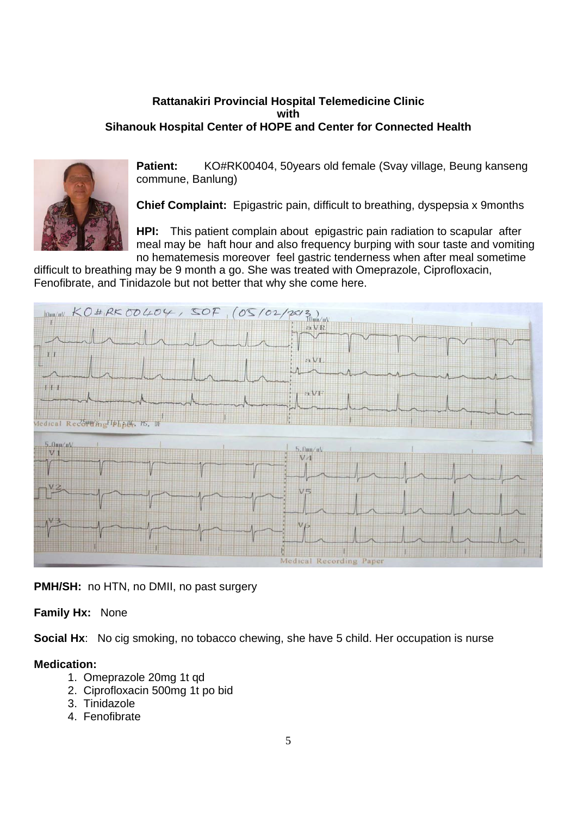# **Rattanakiri Provincial Hospital Telemedicine Clinic with Sihanouk Hospital Center of HOPE and Center for Connected Health**



**Patient:** KO#RK00404, 50years old female (Svay village, Beung kanseng commune, Banlung)

**Chief Complaint:** Epigastric pain, difficult to breathing, dyspepsia x 9months

**HPI:** This patient complain about epigastric pain radiation to scapular after meal may be haft hour and also frequency burping with sour taste and vomiting no hematemesis moreover feel gastric tenderness when after meal sometime

difficult to breathing may be 9 month a go. She was treated with Omeprazole, Ciprofloxacin, Fenofibrate, and Tinidazole but not better that why she come here.



**PMH/SH:** no HTN, no DMII, no past surgery

# **Family Hx:** None

**Social Hx:** No cig smoking, no tobacco chewing, she have 5 child. Her occupation is nurse

# **Medication:**

- 1. Omeprazole 20mg 1t qd
- 2. Ciprofloxacin 500mg 1t po bid
- 3. Tinidazole
- 4. Fenofibrate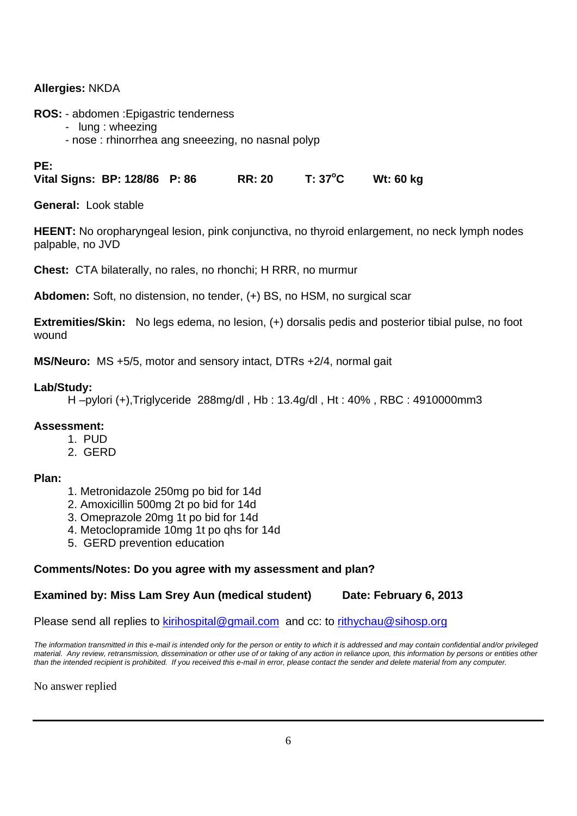# **Allergies:** NKDA

**ROS:** - abdomen :Epigastric tenderness

- lung : wheezing
- nose : rhinorrhea ang sneeezing, no nasnal polyp

# **PE:**

**Vital Signs: BP: 128/86 P: 86 RR: 20 T: 37<sup>o</sup> C Wt: 60 kg** 

**General:** Look stable

**HEENT:** No oropharyngeal lesion, pink conjunctiva, no thyroid enlargement, no neck lymph nodes palpable, no JVD

**Chest:** CTA bilaterally, no rales, no rhonchi; H RRR, no murmur

**Abdomen:** Soft, no distension, no tender, (+) BS, no HSM, no surgical scar

**Extremities/Skin:** No legs edema, no lesion, (+) dorsalis pedis and posterior tibial pulse, no foot wound

**MS/Neuro:** MS +5/5, motor and sensory intact, DTRs +2/4, normal gait

# **Lab/Study:**

H –pylori (+),Triglyceride 288mg/dl , Hb : 13.4g/dl , Ht : 40% , RBC : 4910000mm3

# **Assessment:**

- 1. PUD
- 2. GERD

# **Plan:**

- 1. Metronidazole 250mg po bid for 14d
- 2. Amoxicillin 500mg 2t po bid for 14d
- 3. Omeprazole 20mg 1t po bid for 14d
- 4. Metoclopramide 10mg 1t po qhs for 14d
- 5. GERD prevention education

# **Comments/Notes: Do you agree with my assessment and plan?**

# **Examined by: Miss Lam Srey Aun (medical student) Date: February 6, 2013**

Please send all replies to kirihospital@gmail.com and cc: to rithychau@sihosp.org

*The information transmitted in this e-mail is intended only for the person or entity to which it is addressed and may contain confidential and/or privileged material. Any review, retransmission, dissemination or other use of or taking of any action in reliance upon, this information by persons or entities other than the intended recipient is prohibited. If you received this e-mail in error, please contact the sender and delete material from any computer.*

No answer replied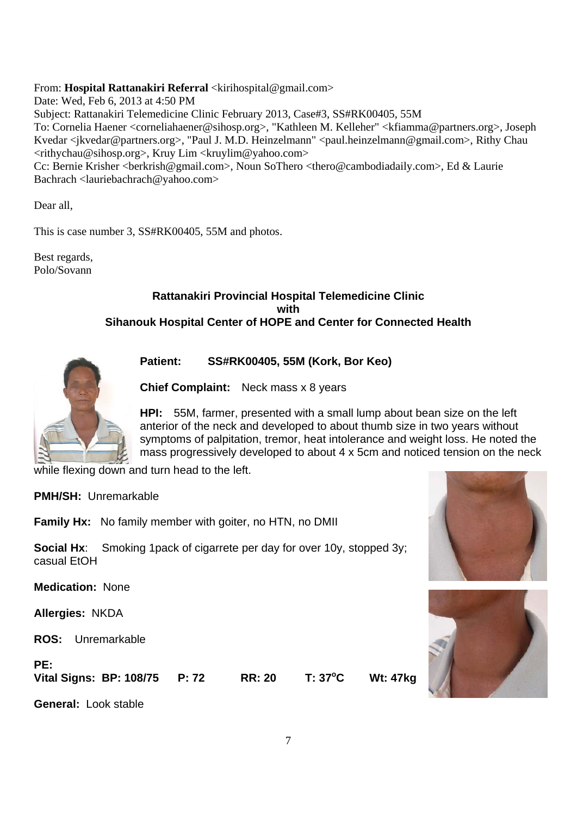# From: **Hospital Rattanakiri Referral** <kirihospital@gmail.com>

Date: Wed, Feb 6, 2013 at 4:50 PM

Subject: Rattanakiri Telemedicine Clinic February 2013, Case#3, SS#RK00405, 55M

To: Cornelia Haener <corneliahaener@sihosp.org>, "Kathleen M. Kelleher" <kfiamma@partners.org>, Joseph Kvedar <jkvedar@partners.org>, "Paul J. M.D. Heinzelmann" <paul.heinzelmann@gmail.com>, Rithy Chau <rithychau@sihosp.org>, Kruy Lim <kruylim@yahoo.com>

Cc: Bernie Krisher <berkrish@gmail.com>, Noun SoThero <thero@cambodiadaily.com>, Ed & Laurie Bachrach <lauriebachrach@yahoo.com>

Dear all,

This is case number 3, SS#RK00405, 55M and photos.

Best regards, Polo/Sovann

# **Rattanakiri Provincial Hospital Telemedicine Clinic with Sihanouk Hospital Center of HOPE and Center for Connected Health**



**Patient: SS#RK00405, 55M (Kork, Bor Keo)** 

**Chief Complaint:** Neck mass x 8 years

**HPI:** 55M, farmer, presented with a small lump about bean size on the left anterior of the neck and developed to about thumb size in two years without symptoms of palpitation, tremor, heat intolerance and weight loss. He noted the mass progressively developed to about 4 x 5cm and noticed tension on the neck

while flexing down and turn head to the left.

**PMH/SH:** Unremarkable

**Family Hx:** No family member with goiter, no HTN, no DMII

**Social Hx:** Smoking 1 pack of cigarrete per day for over 10y, stopped 3y; casual EtOH

**Medication:** None

**Allergies:** NKDA

**ROS:** Unremarkable

# **PE:**

**Vital Signs: BP: 108/75 P: 72 RR: 20 T: 37<sup>o</sup> Wt: 47kg** 

**General:** Look stable



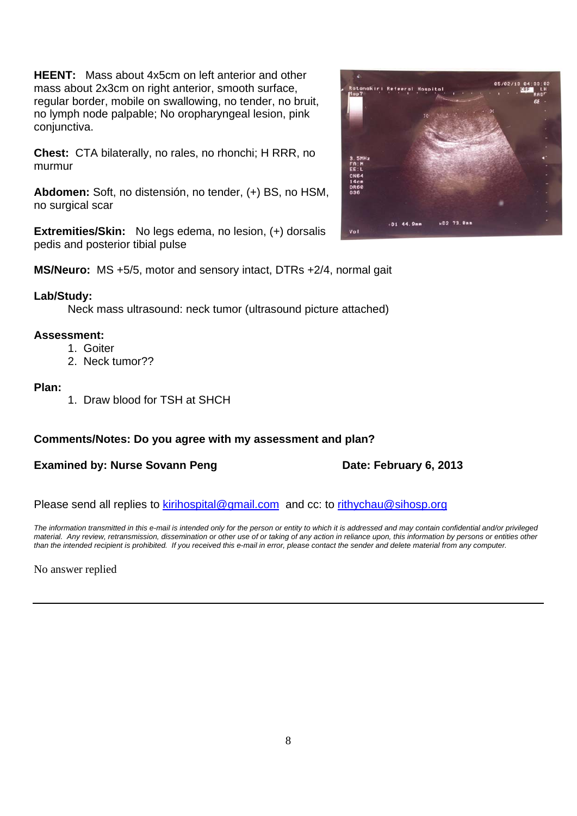**HEENT:** Mass about 4x5cm on left anterior and other mass about 2x3cm on right anterior, smooth surface, regular border, mobile on swallowing, no tender, no bruit, no lymph node palpable; No oropharyngeal lesion, pink conjunctiva.

**Chest:** CTA bilaterally, no rales, no rhonchi; H RRR, no murmur

**Abdomen:** Soft, no distensión, no tender, (+) BS, no HSM, no surgical scar

**Extremities/Skin:** No legs edema, no lesion, (+) dorsalis pedis and posterior tibial pulse

**MS/Neuro:** MS +5/5, motor and sensory intact, DTRs +2/4, normal gait

# **Lab/Study:**

Neck mass ultrasound: neck tumor (ultrasound picture attached)

# **Assessment:**

- 1. Goiter
- 2. Neck tumor??

# **Plan:**

1. Draw blood for TSH at SHCH

# **Comments/Notes: Do you agree with my assessment and plan?**

# **Examined by: Nurse Sovann Peng <b>Date: February 6, 2013**

Please send all replies to kirihospital@gmail.com and cc: to rithychau@sihosp.org

*The information transmitted in this e-mail is intended only for the person or entity to which it is addressed and may contain confidential and/or privileged material. Any review, retransmission, dissemination or other use of or taking of any action in reliance upon, this information by persons or entities other than the intended recipient is prohibited. If you received this e-mail in error, please contact the sender and delete material from any computer.*

No answer replied

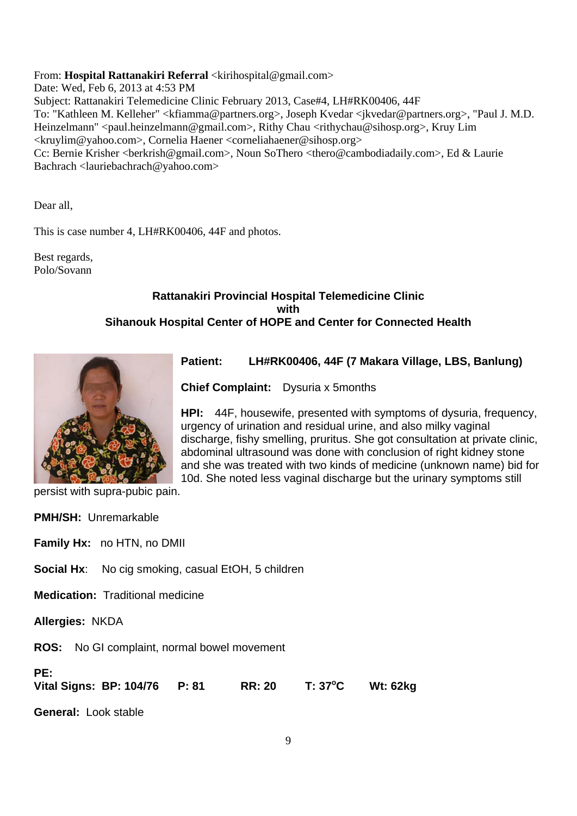# From: **Hospital Rattanakiri Referral** <kirihospital@gmail.com>

Date: Wed, Feb 6, 2013 at 4:53 PM Subject: Rattanakiri Telemedicine Clinic February 2013, Case#4, LH#RK00406, 44F To: "Kathleen M. Kelleher" <kfiamma@partners.org>, Joseph Kvedar <jkvedar@partners.org>, "Paul J. M.D. Heinzelmann" <paul.heinzelmann@gmail.com>, Rithy Chau <rithychau@sihosp.org>, Kruy Lim <kruylim@yahoo.com>, Cornelia Haener <corneliahaener@sihosp.org> Cc: Bernie Krisher <br/> <br/>berkrish@gmail.com>, Noun SoThero <thero@cambodiadaily.com>, Ed & Laurie Bachrach <lauriebachrach@yahoo.com>

Dear all,

This is case number 4, LH#RK00406, 44F and photos.

Best regards, Polo/Sovann

# **Rattanakiri Provincial Hospital Telemedicine Clinic with Sihanouk Hospital Center of HOPE and Center for Connected Health**



# **Patient: LH#RK00406, 44F (7 Makara Village, LBS, Banlung)**

**Chief Complaint:** Dysuria x 5months

**HPI:** 44F, housewife, presented with symptoms of dysuria, frequency, urgency of urination and residual urine, and also milky vaginal discharge, fishy smelling, pruritus. She got consultation at private clinic, abdominal ultrasound was done with conclusion of right kidney stone and she was treated with two kinds of medicine (unknown name) bid for 10d. She noted less vaginal discharge but the urinary symptoms still

persist with supra-pubic pain.

| <b>PMH/SH:</b> Unremarkable                                                                            |  |  |  |  |
|--------------------------------------------------------------------------------------------------------|--|--|--|--|
| <b>Family Hx:</b> no HTN, no DMII                                                                      |  |  |  |  |
| <b>Social Hx:</b> No cig smoking, casual EtOH, 5 children                                              |  |  |  |  |
| <b>Medication:</b> Traditional medicine                                                                |  |  |  |  |
| <b>Allergies: NKDA</b>                                                                                 |  |  |  |  |
| <b>ROS:</b> No GI complaint, normal bowel movement                                                     |  |  |  |  |
| PE:<br>$T: 37^{\circ}C$<br>Vital Signs: BP: 104/76<br><b>P:</b> 81<br><b>RR: 20</b><br><b>Wt: 62kg</b> |  |  |  |  |
| <b>General: Look stable</b>                                                                            |  |  |  |  |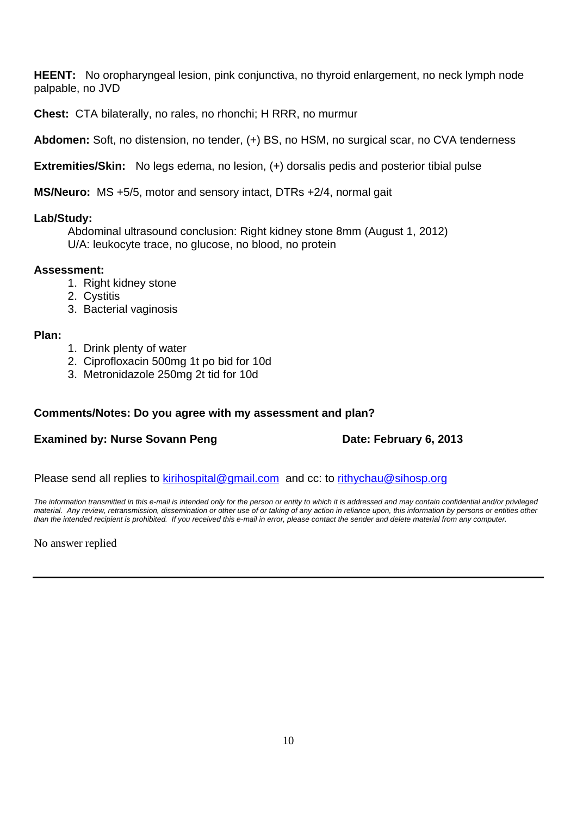**HEENT:** No oropharyngeal lesion, pink conjunctiva, no thyroid enlargement, no neck lymph node palpable, no JVD

**Chest:** CTA bilaterally, no rales, no rhonchi; H RRR, no murmur

**Abdomen:** Soft, no distension, no tender, (+) BS, no HSM, no surgical scar, no CVA tenderness

**Extremities/Skin:** No legs edema, no lesion, (+) dorsalis pedis and posterior tibial pulse

**MS/Neuro:** MS +5/5, motor and sensory intact, DTRs +2/4, normal gait

# **Lab/Study:**

 Abdominal ultrasound conclusion: Right kidney stone 8mm (August 1, 2012) U/A: leukocyte trace, no glucose, no blood, no protein

# **Assessment:**

- 1. Right kidney stone
- 2. Cystitis
- 3. Bacterial vaginosis

# **Plan:**

- 1. Drink plenty of water
- 2. Ciprofloxacin 500mg 1t po bid for 10d
- 3. Metronidazole 250mg 2t tid for 10d

# **Comments/Notes: Do you agree with my assessment and plan?**

# **Examined by: Nurse Sovann Peng Date: February 6, 2013**

Please send all replies to kirihospital@gmail.com and cc: to rithychau@sihosp.org

*The information transmitted in this e-mail is intended only for the person or entity to which it is addressed and may contain confidential and/or privileged material. Any review, retransmission, dissemination or other use of or taking of any action in reliance upon, this information by persons or entities other than the intended recipient is prohibited. If you received this e-mail in error, please contact the sender and delete material from any computer.*

No answer replied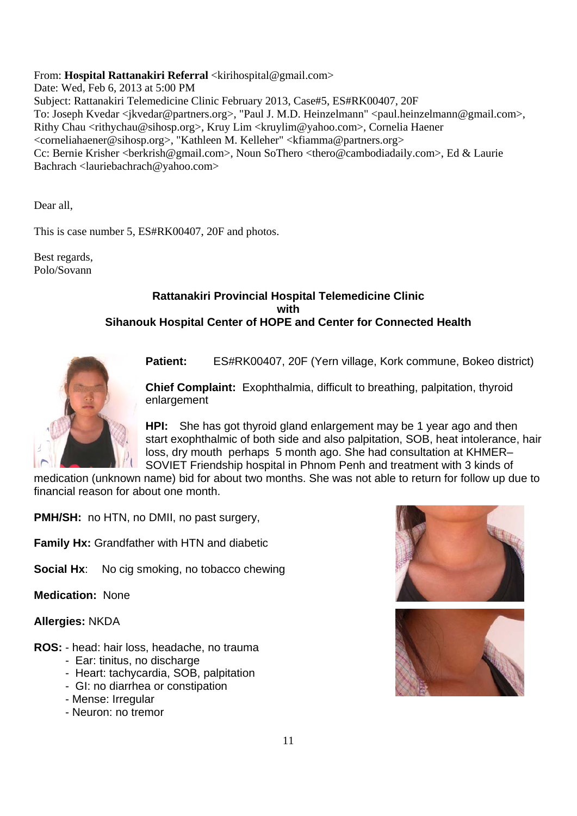From: Hospital Rattanakiri Referral <kirihospital@gmail.com>

Date: Wed, Feb 6, 2013 at 5:00 PM Subject: Rattanakiri Telemedicine Clinic February 2013, Case#5, ES#RK00407, 20F To: Joseph Kvedar <jkvedar@partners.org>, "Paul J. M.D. Heinzelmann" <paul.heinzelmann@gmail.com>, Rithy Chau <rithychau@sihosp.org>, Kruy Lim <kruylim@yahoo.com>, Cornelia Haener <corneliahaener@sihosp.org>, "Kathleen M. Kelleher" <kfiamma@partners.org> Cc: Bernie Krisher <br/> <br/>berkrish@gmail.com>, Noun SoThero <thero@cambodiadaily.com>, Ed & Laurie Bachrach <lauriebachrach@yahoo.com>

Dear all,

This is case number 5, ES#RK00407, 20F and photos.

Best regards, Polo/Sovann

# **Rattanakiri Provincial Hospital Telemedicine Clinic with Sihanouk Hospital Center of HOPE and Center for Connected Health**



**Patient:** ES#RK00407, 20F (Yern village, Kork commune, Bokeo district)

**Chief Complaint:** Exophthalmia, difficult to breathing, palpitation, thyroid enlargement

**HPI:** She has got thyroid gland enlargement may be 1 year ago and then start exophthalmic of both side and also palpitation, SOB, heat intolerance, hair loss, dry mouth perhaps 5 month ago. She had consultation at KHMER– SOVIET Friendship hospital in Phnom Penh and treatment with 3 kinds of

medication (unknown name) bid for about two months. She was not able to return for follow up due to financial reason for about one month.

**PMH/SH:** no HTN, no DMII, no past surgery.

**Family Hx:** Grandfather with HTN and diabetic

**Social Hx:** No cig smoking, no tobacco chewing

**Medication:** None

**Allergies:** NKDA

- **ROS:** head: hair loss, headache, no trauma
	- Ear: tinitus, no discharge
	- Heart: tachycardia, SOB, palpitation
	- GI: no diarrhea or constipation
	- Mense: Irregular
	- Neuron: no tremor



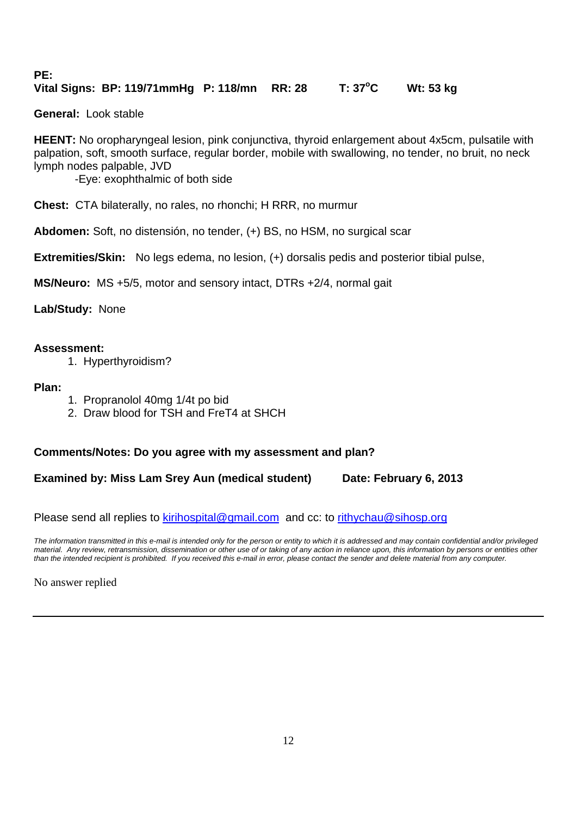#### **PE: Vital Signs: BP: 119/71mmHg P: 118/mn RR: 28 T: 37<sup>o</sup> C Wt: 53 kg**

**General:** Look stable

**HEENT:** No oropharyngeal lesion, pink conjunctiva, thyroid enlargement about 4x5cm, pulsatile with palpation, soft, smooth surface, regular border, mobile with swallowing, no tender, no bruit, no neck lymph nodes palpable, JVD

-Eye: exophthalmic of both side

**Chest:** CTA bilaterally, no rales, no rhonchi; H RRR, no murmur

**Abdomen:** Soft, no distensión, no tender, (+) BS, no HSM, no surgical scar

**Extremities/Skin:** No legs edema, no lesion, (+) dorsalis pedis and posterior tibial pulse,

**MS/Neuro:** MS +5/5, motor and sensory intact, DTRs +2/4, normal gait

**Lab/Study:** None

# **Assessment:**

1. Hyperthyroidism?

**Plan:**

- 1. Propranolol 40mg 1/4t po bid
- 2. Draw blood for TSH and FreT4 at SHCH

# **Comments/Notes: Do you agree with my assessment and plan?**

**Examined by: Miss Lam Srey Aun (medical student) Date: February 6, 2013**

Please send all replies to kirihospital@gmail.com and cc: to rithychau@sihosp.org

*The information transmitted in this e-mail is intended only for the person or entity to which it is addressed and may contain confidential and/or privileged material. Any review, retransmission, dissemination or other use of or taking of any action in reliance upon, this information by persons or entities other than the intended recipient is prohibited. If you received this e-mail in error, please contact the sender and delete material from any computer.*

No answer replied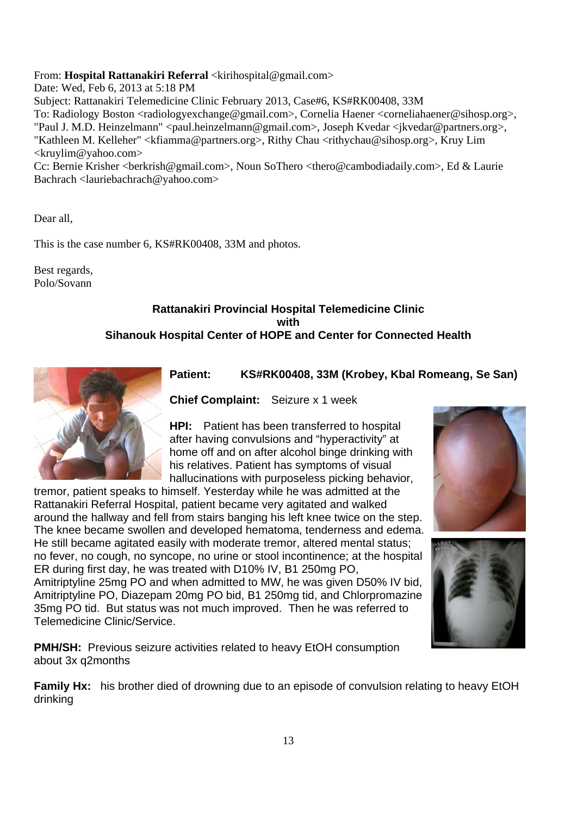# From: **Hospital Rattanakiri Referral** <kirihospital@gmail.com>

Date: Wed, Feb 6, 2013 at 5:18 PM

Subject: Rattanakiri Telemedicine Clinic February 2013, Case#6, KS#RK00408, 33M To: Radiology Boston <radiologyexchange@gmail.com>, Cornelia Haener <corneliahaener@sihosp.org>, "Paul J. M.D. Heinzelmann" <paul.heinzelmann@gmail.com>, Joseph Kvedar <jkvedar@partners.org>, "Kathleen M. Kelleher" <kfiamma@partners.org>, Rithy Chau <rithychau@sihosp.org>, Kruy Lim <kruylim@yahoo.com>

Cc: Bernie Krisher <br/> <br/>berkrish@gmail.com>, Noun SoThero <thero@cambodiadaily.com>, Ed & Laurie Bachrach <lauriebachrach@yahoo.com>

Dear all,

This is the case number 6, KS#RK00408, 33M and photos.

Best regards, Polo/Sovann

# **Rattanakiri Provincial Hospital Telemedicine Clinic with Sihanouk Hospital Center of HOPE and Center for Connected Health**



# **Patient: KS#RK00408, 33M (Krobey, Kbal Romeang, Se San)**

**Chief Complaint:** Seizure x 1 week

**HPI:** Patient has been transferred to hospital after having convulsions and "hyperactivity" at home off and on after alcohol binge drinking with his relatives. Patient has symptoms of visual hallucinations with purposeless picking behavior,

tremor, patient speaks to himself. Yesterday while he was admitted at the Rattanakiri Referral Hospital, patient became very agitated and walked around the hallway and fell from stairs banging his left knee twice on the step. The knee became swollen and developed hematoma, tenderness and edema. He still became agitated easily with moderate tremor, altered mental status; no fever, no cough, no syncope, no urine or stool incontinence; at the hospital ER during first day, he was treated with D10% IV, B1 250mg PO, Amitriptyline 25mg PO and when admitted to MW, he was given D50% IV bid, Amitriptyline PO, Diazepam 20mg PO bid, B1 250mg tid, and Chlorpromazine 35mg PO tid. But status was not much improved. Then he was referred to Telemedicine Clinic/Service.

**PMH/SH:** Previous seizure activities related to heavy EtOH consumption about 3x q2months

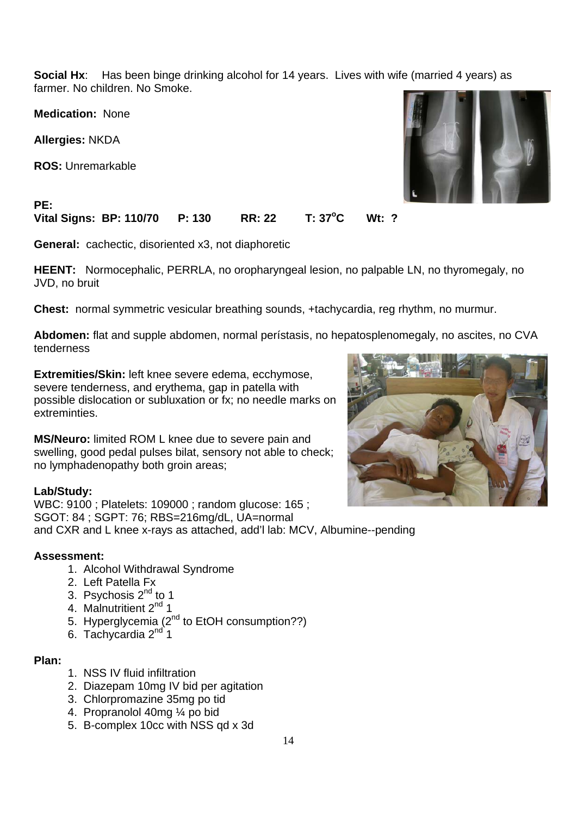**Social Hx:** Has been binge drinking alcohol for 14 years. Lives with wife (married 4 years) as farmer. No children. No Smoke.

**Medication:** None

**Allergies:** NKDA

**PE:** 

**ROS:** Unremarkable



#### **Vital Signs: BP: 110/70 P: 130 RR: 22 T: 37<sup>o</sup> C Wt: ?**

**General:** cachectic, disoriented x3, not diaphoretic

**HEENT:** Normocephalic, PERRLA, no oropharyngeal lesion, no palpable LN, no thyromegaly, no JVD, no bruit

**Chest:** normal symmetric vesicular breathing sounds, +tachycardia, reg rhythm, no murmur.

**Abdomen:** flat and supple abdomen, normal perístasis, no hepatosplenomegaly, no ascites, no CVA tenderness

**Extremities/Skin:** left knee severe edema, ecchymose, severe tenderness, and erythema, gap in patella with possible dislocation or subluxation or fx; no needle marks on extreminties.

**MS/Neuro:** limited ROM L knee due to severe pain and swelling, good pedal pulses bilat, sensory not able to check; no lymphadenopathy both groin areas;

# **Lab/Study:**

WBC: 9100 ; Platelets: 109000 ; random glucose: 165 ; SGOT: 84 ; SGPT: 76; RBS=216mg/dL, UA=normal and CXR and L knee x-rays as attached, add'l lab: MCV, Albumine--pending

# **Assessment:**

- 1. Alcohol Withdrawal Syndrome
- 2. Left Patella Fx
- 3. Psychosis  $2<sup>nd</sup>$  to 1
- 4. Malnutritient 2<sup>nd</sup> 1
- 5. Hyperglycemia (2<sup>nd</sup> to EtOH consumption??)
- 6. Tachycardia  $2<sup>nd</sup> 1$

# **Plan:**

- 1. NSS IV fluid infiltration
- 2. Diazepam 10mg IV bid per agitation
- 3. Chlorpromazine 35mg po tid
- 4. Propranolol 40mg ¼ po bid
- 5. B-complex 10cc with NSS qd x 3d

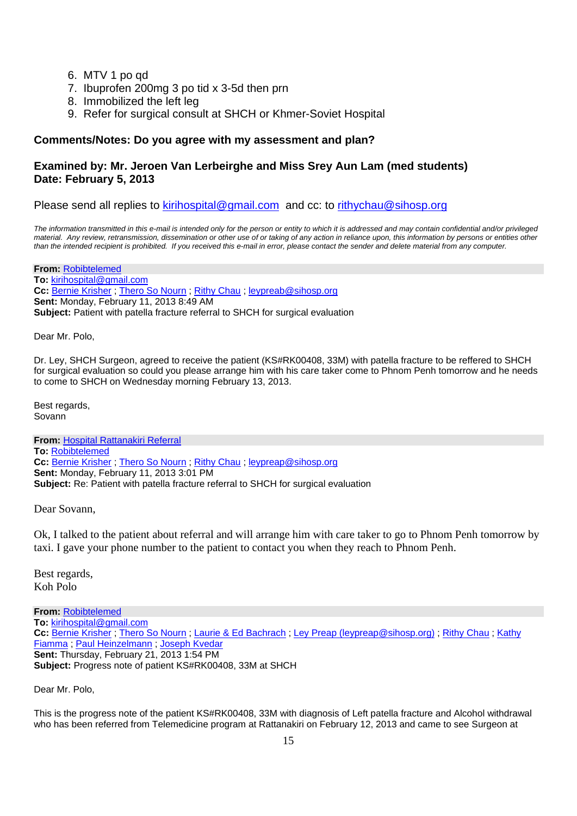- 6. MTV 1 po qd
- 7. Ibuprofen 200mg 3 po tid x 3-5d then prn
- 8. Immobilized the left leg
- 9. Refer for surgical consult at SHCH or Khmer-Soviet Hospital

# **Comments/Notes: Do you agree with my assessment and plan?**

# **Examined by: Mr. Jeroen Van Lerbeirghe and Miss Srey Aun Lam (med students) Date: February 5, 2013**

Please send all replies to kirihospital@gmail.com and cc: to rithychau@sihosp.org

*The information transmitted in this e-mail is intended only for the person or entity to which it is addressed and may contain confidential and/or privileged material. Any review, retransmission, dissemination or other use of or taking of any action in reliance upon, this information by persons or entities other than the intended recipient is prohibited. If you received this e-mail in error, please contact the sender and delete material from any computer.*

**From:** Robibtelemed **To:** kirihospital@gmail.com **Cc:** Bernie Krisher ; Thero So Nourn ; Rithy Chau ; leypreab@sihosp.org **Sent:** Monday, February 11, 2013 8:49 AM **Subject:** Patient with patella fracture referral to SHCH for surgical evaluation

Dear Mr. Polo,

Dr. Ley, SHCH Surgeon, agreed to receive the patient (KS#RK00408, 33M) with patella fracture to be reffered to SHCH for surgical evaluation so could you please arrange him with his care taker come to Phnom Penh tomorrow and he needs to come to SHCH on Wednesday morning February 13, 2013.

Best regards, Sovann

**From:** Hospital Rattanakiri Referral **To:** Robibtelemed **Cc:** Bernie Krisher ; Thero So Nourn ; Rithy Chau ; leypreap@sihosp.org **Sent:** Monday, February 11, 2013 3:01 PM **Subject:** Re: Patient with patella fracture referral to SHCH for surgical evaluation

Dear Sovann,

Ok, I talked to the patient about referral and will arrange him with care taker to go to Phnom Penh tomorrow by taxi. I gave your phone number to the patient to contact you when they reach to Phnom Penh.

Best regards, Koh Polo

**From:** Robibtelemed **To:** kirihospital@gmail.com **Cc:** Bernie Krisher ; Thero So Nourn ; Laurie & Ed Bachrach ; Ley Preap (leypreap@sihosp.org) ; Rithy Chau ; Kathy Fiamma ; Paul Heinzelmann ; Joseph Kvedar **Sent:** Thursday, February 21, 2013 1:54 PM **Subject:** Progress note of patient KS#RK00408, 33M at SHCH

Dear Mr. Polo,

This is the progress note of the patient KS#RK00408, 33M with diagnosis of Left patella fracture and Alcohol withdrawal who has been referred from Telemedicine program at Rattanakiri on February 12, 2013 and came to see Surgeon at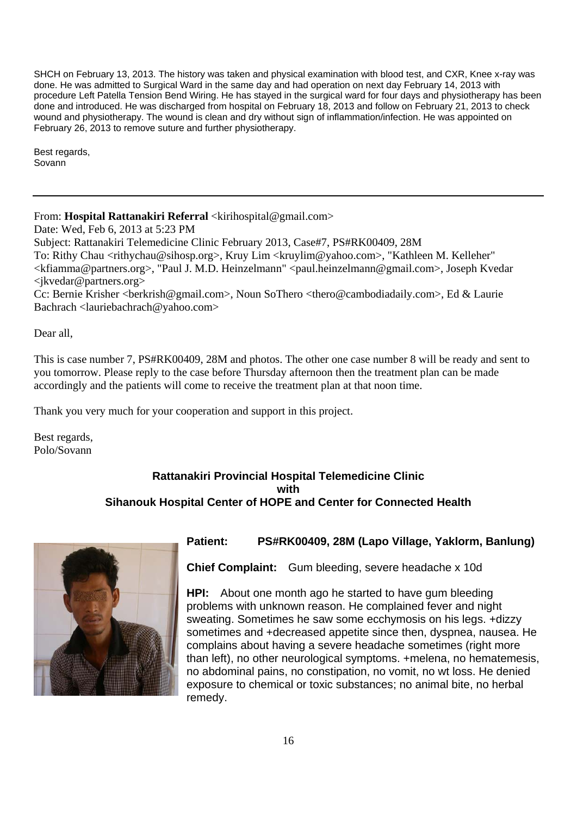SHCH on February 13, 2013. The history was taken and physical examination with blood test, and CXR, Knee x-ray was done. He was admitted to Surgical Ward in the same day and had operation on next day February 14, 2013 with procedure Left Patella Tension Bend Wiring. He has stayed in the surgical ward for four days and physiotherapy has been done and introduced. He was discharged from hospital on February 18, 2013 and follow on February 21, 2013 to check wound and physiotherapy. The wound is clean and dry without sign of inflammation/infection. He was appointed on February 26, 2013 to remove suture and further physiotherapy.

Best regards, Sovann

From: **Hospital Rattanakiri Referral** <kirihospital@gmail.com>

Date: Wed, Feb 6, 2013 at 5:23 PM Subject: Rattanakiri Telemedicine Clinic February 2013, Case#7, PS#RK00409, 28M To: Rithy Chau <rithychau@sihosp.org>, Kruy Lim <kruylim@yahoo.com>, "Kathleen M. Kelleher" <kfiamma@partners.org>, "Paul J. M.D. Heinzelmann" <paul.heinzelmann@gmail.com>, Joseph Kvedar <jkvedar@partners.org>

Cc: Bernie Krisher <br/>berkrish@gmail.com>, Noun SoThero <thero@cambodiadaily.com>, Ed & Laurie Bachrach <lauriebachrach@yahoo.com>

Dear all,

This is case number 7, PS#RK00409, 28M and photos. The other one case number 8 will be ready and sent to you tomorrow. Please reply to the case before Thursday afternoon then the treatment plan can be made accordingly and the patients will come to receive the treatment plan at that noon time.

Thank you very much for your cooperation and support in this project.

Best regards, Polo/Sovann

# **Rattanakiri Provincial Hospital Telemedicine Clinic with Sihanouk Hospital Center of HOPE and Center for Connected Health**



# **Patient: PS#RK00409, 28M (Lapo Village, Yaklorm, Banlung)**

**Chief Complaint:** Gum bleeding, severe headache x 10d

**HPI:** About one month ago he started to have gum bleeding problems with unknown reason. He complained fever and night sweating. Sometimes he saw some ecchymosis on his legs. +dizzy sometimes and +decreased appetite since then, dyspnea, nausea. He complains about having a severe headache sometimes (right more than left), no other neurological symptoms. +melena, no hematemesis, no abdominal pains, no constipation, no vomit, no wt loss. He denied exposure to chemical or toxic substances; no animal bite, no herbal remedy.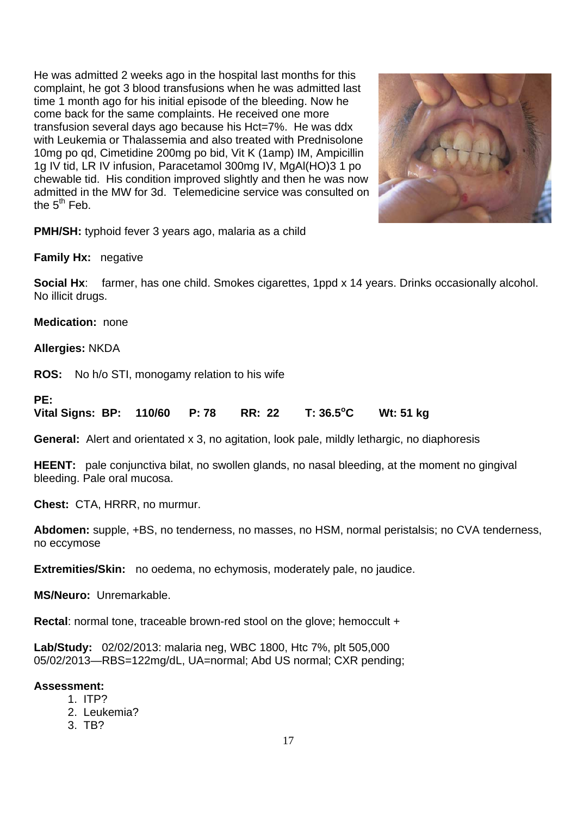He was admitted 2 weeks ago in the hospital last months for this complaint, he got 3 blood transfusions when he was admitted last time 1 month ago for his initial episode of the bleeding. Now he come back for the same complaints. He received one more transfusion several days ago because his Hct=7%. He was ddx with Leukemia or Thalassemia and also treated with Prednisolone 10mg po qd, Cimetidine 200mg po bid, Vit K (1amp) IM, Ampicillin 1g IV tid, LR IV infusion, Paracetamol 300mg IV, MgAl(HO)3 1 po chewable tid. His condition improved slightly and then he was now admitted in the MW for 3d. Telemedicine service was consulted on the  $5^{th}$  Feb.



**PMH/SH:** typhoid fever 3 years ago, malaria as a child

**Family Hx:** negative

**Social Hx**: farmer, has one child. Smokes cigarettes, 1ppd x 14 years. Drinks occasionally alcohol. No illicit drugs.

**Medication:** none

**Allergies:** NKDA

**ROS:** No h/o STI, monogamy relation to his wife

# **PE:**

**Vital Signs: BP: 110/60 P: 78 RR: 22 T: 36.5<sup>o</sup> C Wt: 51 kg** 

**General:** Alert and orientated x 3, no agitation, look pale, mildly lethargic, no diaphoresis

**HEENT:** pale conjunctiva bilat, no swollen glands, no nasal bleeding, at the moment no gingival bleeding. Pale oral mucosa.

**Chest:** CTA, HRRR, no murmur.

**Abdomen:** supple, +BS, no tenderness, no masses, no HSM, normal peristalsis; no CVA tenderness, no eccymose

**Extremities/Skin:** no oedema, no echymosis, moderately pale, no jaudice.

**MS/Neuro:** Unremarkable.

**Rectal:** normal tone, traceable brown-red stool on the glove; hemoccult +

**Lab/Study:** 02/02/2013: malaria neg, WBC 1800, Htc 7%, plt 505,000 05/02/2013—RBS=122mg/dL, UA=normal; Abd US normal; CXR pending;

# **Assessment:**

- 1. ITP?
- 2. Leukemia?
- 3. TB?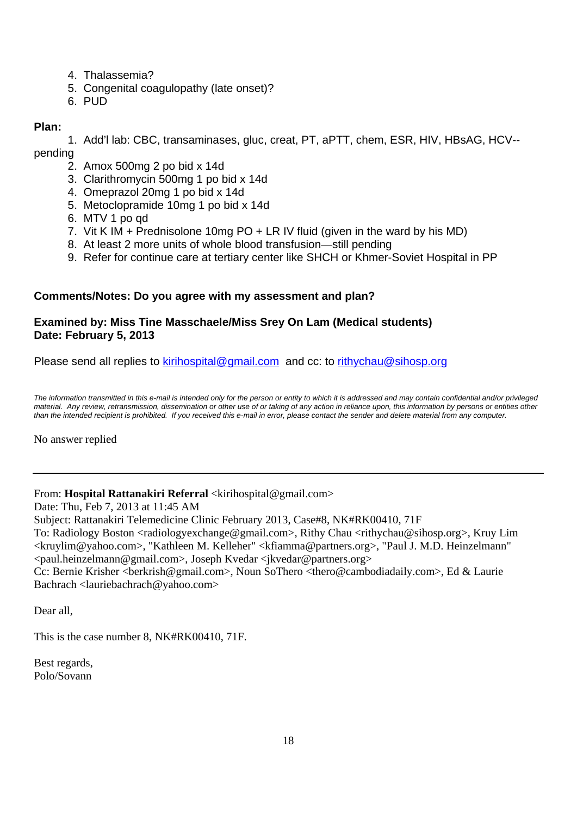- 4. Thalassemia?
- 5. Congenital coagulopathy (late onset)?
- 6. PUD

# **Plan:**

1. Add'l lab: CBC, transaminases, gluc, creat, PT, aPTT, chem, ESR, HIV, HBsAG, HCV- pending

- 2. Amox 500mg 2 po bid x 14d
- 3. Clarithromycin 500mg 1 po bid x 14d
- 4. Omeprazol 20mg 1 po bid x 14d
- 5. Metoclopramide 10mg 1 po bid x 14d
- 6. MTV 1 po qd
- 7. Vit K IM + Prednisolone 10mg PO + LR IV fluid (given in the ward by his MD)
- 8. At least 2 more units of whole blood transfusion—still pending
- 9. Refer for continue care at tertiary center like SHCH or Khmer-Soviet Hospital in PP

# **Comments/Notes: Do you agree with my assessment and plan?**

# **Examined by: Miss Tine Masschaele/Miss Srey On Lam (Medical students) Date: February 5, 2013**

Please send all replies to kirihospital@gmail.com and cc: to rithychau@sihosp.org

*The information transmitted in this e-mail is intended only for the person or entity to which it is addressed and may contain confidential and/or privileged material. Any review, retransmission, dissemination or other use of or taking of any action in reliance upon, this information by persons or entities other than the intended recipient is prohibited. If you received this e-mail in error, please contact the sender and delete material from any computer.*

No answer replied

# From: **Hospital Rattanakiri Referral** <kirihospital@gmail.com>

Date: Thu, Feb 7, 2013 at 11:45 AM

Subject: Rattanakiri Telemedicine Clinic February 2013, Case#8, NK#RK00410, 71F

To: Radiology Boston <radiologyexchange@gmail.com>, Rithy Chau <rithychau@sihosp.org>, Kruy Lim <kruylim@yahoo.com>, "Kathleen M. Kelleher" <kfiamma@partners.org>, "Paul J. M.D. Heinzelmann" <paul.heinzelmann@gmail.com>, Joseph Kvedar <jkvedar@partners.org>

Cc: Bernie Krisher <br/> <br/>berkrish@gmail.com>, Noun SoThero <thero@cambodiadaily.com>, Ed & Laurie Bachrach <lauriebachrach@yahoo.com>

Dear all,

This is the case number 8, NK#RK00410, 71F.

Best regards, Polo/Sovann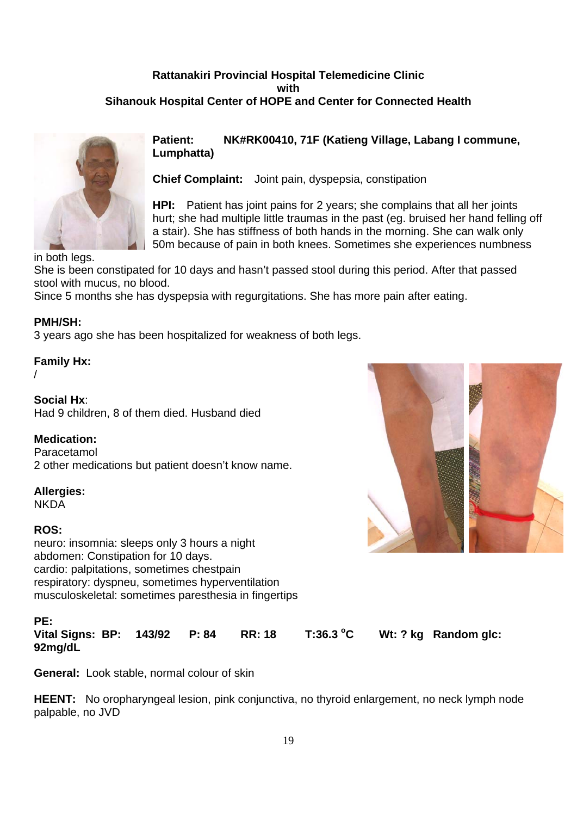# **Rattanakiri Provincial Hospital Telemedicine Clinic with Sihanouk Hospital Center of HOPE and Center for Connected Health**



# **Patient: NK#RK00410, 71F (Katieng Village, Labang I commune, Lumphatta)**

**Chief Complaint:** Joint pain, dyspepsia, constipation

**HPI:** Patient has joint pains for 2 years; she complains that all her joints hurt; she had multiple little traumas in the past (eg. bruised her hand felling off a stair). She has stiffness of both hands in the morning. She can walk only 50m because of pain in both knees. Sometimes she experiences numbness

She is been constipated for 10 days and hasn't passed stool during this period. After that passed stool with mucus, no blood.

Since 5 months she has dyspepsia with regurgitations. She has more pain after eating.

# **PMH/SH:**

3 years ago she has been hospitalized for weakness of both legs.

# **Family Hx:**

/

**Social Hx**: Had 9 children, 8 of them died. Husband died

# **Medication:**

Paracetamol 2 other medications but patient doesn't know name.

# **Allergies:**

**NKDA** 

# **ROS:**

neuro: insomnia: sleeps only 3 hours a night abdomen: Constipation for 10 days. cardio: palpitations, sometimes chestpain respiratory: dyspneu, sometimes hyperventilation musculoskeletal: sometimes paresthesia in fingertips

# **PE:**

**Vital Signs: BP: 143/92 P: 84 RR: 18 T:36.3 <sup>o</sup>** Wt: ? kg Random glc: **92mg/dL** 

**General:** Look stable, normal colour of skin

**HEENT:** No oropharyngeal lesion, pink conjunctiva, no thyroid enlargement, no neck lymph node palpable, no JVD

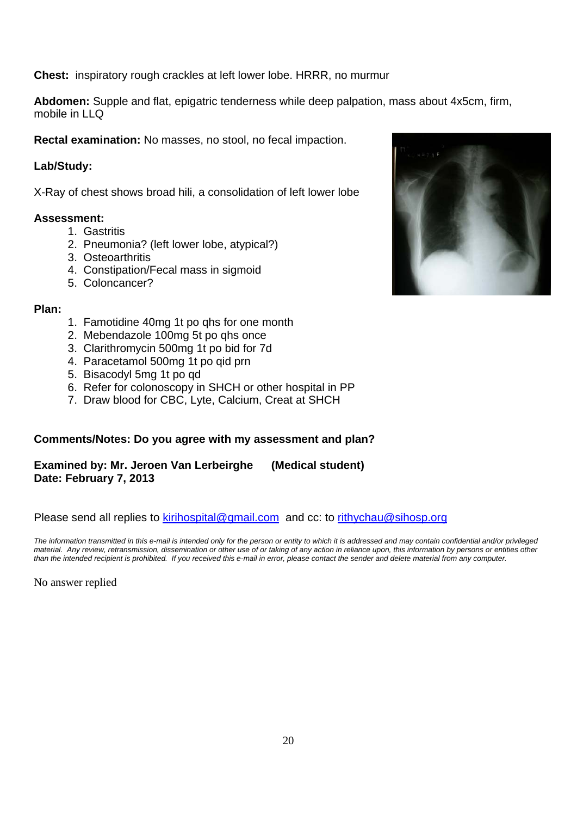**Chest:** inspiratory rough crackles at left lower lobe. HRRR, no murmur

**Abdomen:** Supple and flat, epigatric tenderness while deep palpation, mass about 4x5cm, firm, mobile in LLQ

**Rectal examination:** No masses, no stool, no fecal impaction.

# **Lab/Study:**

X-Ray of chest shows broad hili, a consolidation of left lower lobe

# **Assessment:**

- 1. Gastritis
- 2. Pneumonia? (left lower lobe, atypical?)
- 3. Osteoarthritis
- 4. Constipation/Fecal mass in sigmoid
- 5. Coloncancer?

# **Plan:**

- 1. Famotidine 40mg 1t po qhs for one month
- 2. Mebendazole 100mg 5t po qhs once
- 3. Clarithromycin 500mg 1t po bid for 7d
- 4. Paracetamol 500mg 1t po qid prn
- 5. Bisacodyl 5mg 1t po qd
- 6. Refer for colonoscopy in SHCH or other hospital in PP
- 7. Draw blood for CBC, Lyte, Calcium, Creat at SHCH

# **Comments/Notes: Do you agree with my assessment and plan?**

**Examined by: Mr. Jeroen Van Lerbeirghe (Medical student) Date: February 7, 2013**

Please send all replies to kirihospital@gmail.com and cc: to rithychau@sihosp.org

*The information transmitted in this e-mail is intended only for the person or entity to which it is addressed and may contain confidential and/or privileged material. Any review, retransmission, dissemination or other use of or taking of any action in reliance upon, this information by persons or entities other than the intended recipient is prohibited. If you received this e-mail in error, please contact the sender and delete material from any computer.*

No answer replied

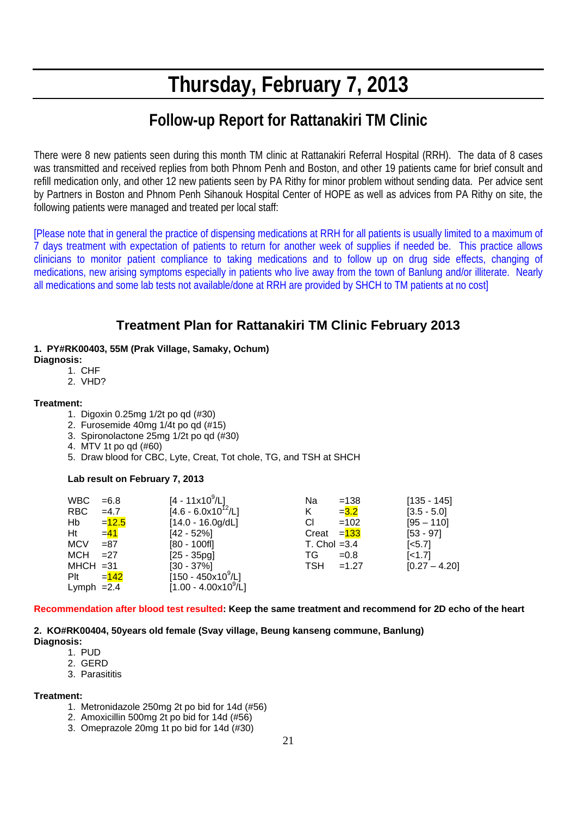# **Thursday, February 7, 2013**

# **Follow-up Report for Rattanakiri TM Clinic**

There were 8 new patients seen during this month TM clinic at Rattanakiri Referral Hospital (RRH). The data of 8 cases was transmitted and received replies from both Phnom Penh and Boston, and other 19 patients came for brief consult and refill medication only, and other 12 new patients seen by PA Rithy for minor problem without sending data. Per advice sent by Partners in Boston and Phnom Penh Sihanouk Hospital Center of HOPE as well as advices from PA Rithy on site, the following patients were managed and treated per local staff:

[Please note that in general the practice of dispensing medications at RRH for all patients is usually limited to a maximum of 7 days treatment with expectation of patients to return for another week of supplies if needed be. This practice allows clinicians to monitor patient compliance to taking medications and to follow up on drug side effects, changing of medications, new arising symptoms especially in patients who live away from the town of Banlung and/or illiterate. Nearly all medications and some lab tests not available/done at RRH are provided by SHCH to TM patients at no cost]

# **Treatment Plan for Rattanakiri TM Clinic February 2013**

- **1. PY#RK00403, 55M (Prak Village, Samaky, Ochum) Diagnosis:**
	- 1. CHF
	- 2. VHD?

#### **Treatment:**

- 1. Digoxin 0.25mg 1/2t po qd (#30)
- 2. Furosemide 40mg 1/4t po qd (#15)
- 3. Spironolactone 25mg 1/2t po qd (#30)
- 4. MTV 1t po qd (#60)
- 5. Draw blood for CBC, Lyte, Creat, Tot chole, TG, and TSH at SHCH

#### **Lab result on February 7, 2013**

| <b>WBC</b>   | $=6.8$  | $[4 - 11 \times 10^9/L]$             | Na<br>$=138$          | $[135 - 145]$   |
|--------------|---------|--------------------------------------|-----------------------|-----------------|
| RBC          | $=4.7$  | $[4.6 - 6.0x10^{12}/L]$              | $= 3.2$<br>K          | $[3.5 - 5.0]$   |
| Hb           | $=12.5$ | $[14.0 - 16.0g/dL]$                  | СI<br>$=102$          | $[95 - 110]$    |
| Ht           | $= 41$  | $[42 - 52\%]$                        | Creat $=133$          | $[53 - 97]$     |
| <b>MCV</b>   | $= 87$  | $[80 - 100f]$                        | T. Chol $=3.4$        | $[<5.7]$        |
| <b>MCH</b>   | $=27$   | $[25 - 35pg]$                        | TG<br>$=0.8$          | $[-1.7]$        |
| $MHCH = 31$  |         | $[30 - 37\%]$                        | <b>TSH</b><br>$=1.27$ | $[0.27 - 4.20]$ |
| Plt          | $= 142$ | $[150 - 450x10^9/L]$                 |                       |                 |
| Lymph $=2.4$ |         | $[1.00 - 4.00 \times 10^9/\text{L}]$ |                       |                 |

#### **Recommendation after blood test resulted: Keep the same treatment and recommend for 2D echo of the heart**

#### **2. KO#RK00404, 50years old female (Svay village, Beung kanseng commune, Banlung) Diagnosis:**

- 1. PUD
- 2. GERD
- 3. Parasititis

#### **Treatment:**

- 1. Metronidazole 250mg 2t po bid for 14d (#56)
- 2. Amoxicillin 500mg 2t po bid for 14d (#56)
- 3. Omeprazole 20mg 1t po bid for 14d (#30)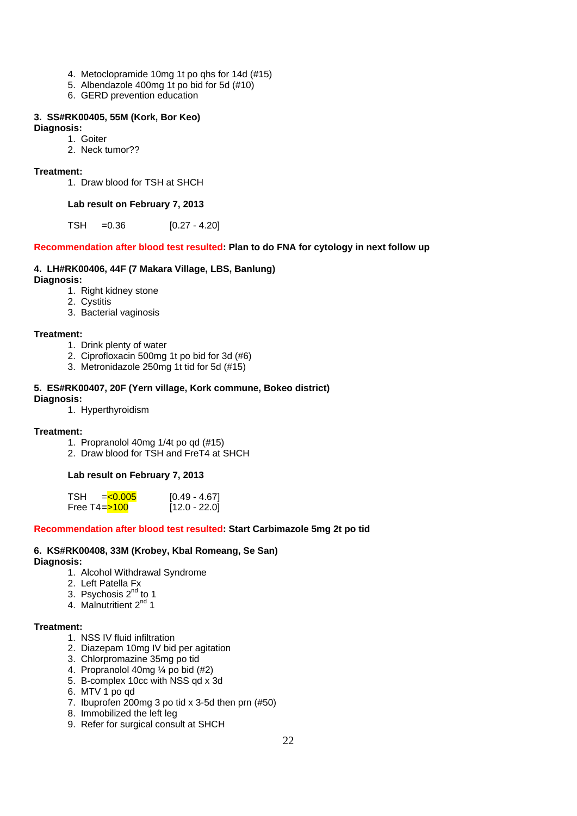- 4. Metoclopramide 10mg 1t po qhs for 14d (#15)
- 5. Albendazole 400mg 1t po bid for 5d (#10)
- 6. GERD prevention education

#### **3. SS#RK00405, 55M (Kork, Bor Keo)**

#### **Diagnosis:**

- 1. Goiter
- 2. Neck tumor??

#### **Treatment:**

1. Draw blood for TSH at SHCH

#### **Lab result on February 7, 2013**

 $TSH = 0.36$  [0.27 - 4.20]

#### **Recommendation after blood test resulted: Plan to do FNA for cytology in next follow up**

#### **4. LH#RK00406, 44F (7 Makara Village, LBS, Banlung)**

#### **Diagnosis:**

- 1. Right kidney stone
- 2. Cystitis
- 3. Bacterial vaginosis

#### **Treatment:**

- 1. Drink plenty of water
- 2. Ciprofloxacin 500mg 1t po bid for 3d (#6)
- 3. Metronidazole 250mg 1t tid for 5d (#15)

#### **5. ES#RK00407, 20F (Yern village, Kork commune, Bokeo district) Diagnosis:**

1. Hyperthyroidism

#### **Treatment:**

- 1. Propranolol 40mg 1/4t po qd (#15)
- 2. Draw blood for TSH and FreT4 at SHCH

#### **Lab result on February 7, 2013**

| TSH<br>$=<0.005$   | $[0.49 - 4.67]$ |
|--------------------|-----------------|
| Free T4 $=$ $5100$ | $[12.0 - 22.0]$ |

#### **Recommendation after blood test resulted: Start Carbimazole 5mg 2t po tid**

#### **6. KS#RK00408, 33M (Krobey, Kbal Romeang, Se San)**

**Diagnosis:**

- 1. Alcohol Withdrawal Syndrome
- 2. Left Patella Fx
- 3. Psychosis 2<sup>nd</sup> to 1
- 4. Malnutritient 2<sup>nd</sup> 1

#### **Treatment:**

- 1. NSS IV fluid infiltration
- 2. Diazepam 10mg IV bid per agitation
- 3. Chlorpromazine 35mg po tid
- 4. Propranolol 40mg ¼ po bid (#2)
- 5. B-complex 10cc with NSS qd x 3d
- 6. MTV 1 po qd
- 7. Ibuprofen 200mg 3 po tid x 3-5d then prn (#50)
- 8. Immobilized the left leg
- 9. Refer for surgical consult at SHCH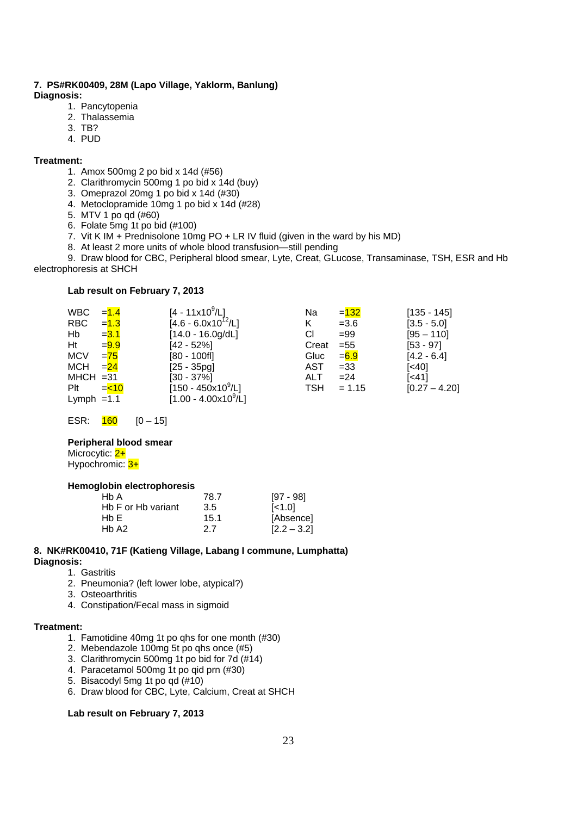#### **7. PS#RK00409, 28M (Lapo Village, Yaklorm, Banlung) Diagnosis:**

- 1. Pancytopenia
- 2. Thalassemia
- 3. TB?
- 4. PUD

#### **Treatment:**

- 1. Amox 500mg 2 po bid x 14d (#56)
- 2. Clarithromycin 500mg 1 po bid x 14d (buy)
- 3. Omeprazol 20mg 1 po bid x 14d (#30)
- 4. Metoclopramide 10mg 1 po bid x 14d (#28)
- 5. MTV 1 po qd (#60)
- 6. Folate 5mg 1t po bid (#100)
- 7. Vit K IM + Prednisolone 10mg PO + LR IV fluid (given in the ward by his MD)
- 8. At least 2 more units of whole blood transfusion—still pending

9. Draw blood for CBC, Peripheral blood smear, Lyte, Creat, GLucose, Transaminase, TSH, ESR and Hb electrophoresis at SHCH

#### **Lab result on February 7, 2013**

| <b>WBC</b>   | $=1.4$     | $[4 - 11x10^9/L]$                    | Na         | $= 132$  | $[135 - 145]$     |
|--------------|------------|--------------------------------------|------------|----------|-------------------|
| RBC          | $= 1.3$    | $[4.6 - 6.0x10^{12}/L]$              | K          | $= 3.6$  | $[3.5 - 5.0]$     |
| Hb           | $= 3.1$    | $[14.0 - 16.0g/dL]$                  | CI         | $= 99$   | $[95 - 110]$      |
| Ht           | $= 9.9$    | $[42 - 52%]$                         | Creat      | $= 55$   | $[53 - 97]$       |
| <b>MCV</b>   | $= 75$     | $[80 - 100f]$                        | Gluc       | $= 6.9$  | $[4.2 - 6.4]$     |
| <b>MCH</b>   | $= 24$     | $[25 - 35pg]$                        | AST        | $= 33$   | $\left[40\right]$ |
| $MHCH = 31$  |            | $[30 - 37\%]$                        | <b>ALT</b> | $= 24$   | [<41]             |
| Plt          | $=$ $<$ 10 | $[150 - 450x10^9/L]$                 | TSH        | $= 1.15$ | $[0.27 - 4.20]$   |
| Lymph $=1.1$ |            | $[1.00 - 4.00 \times 10^9/\text{L}]$ |            |          |                   |

ESR:  $\frac{160}{160}$  [0 – 15]

#### **Peripheral blood smear**

Microcytic: 2+ Hypochromic: 3+

#### **Hemoglobin electrophoresis**

| Hb A               | 78.7 | [97 - 98]      |
|--------------------|------|----------------|
| Hb F or Hb variant | 3.5  | $\left[$ < 1.0 |
| Hb E               | 15.1 | [Absence]      |
| Hb A2              | 2.7  | $[2.2 - 3.2]$  |

#### **8. NK#RK00410, 71F (Katieng Village, Labang I commune, Lumphatta) Diagnosis:**

- 1. Gastritis
- 2. Pneumonia? (left lower lobe, atypical?)
- 3. Osteoarthritis
- 4. Constipation/Fecal mass in sigmoid

#### **Treatment:**

- 1. Famotidine 40mg 1t po qhs for one month (#30)
- 2. Mebendazole 100mg 5t po qhs once (#5)
- 3. Clarithromycin 500mg 1t po bid for 7d (#14)
- 4. Paracetamol 500mg 1t po qid prn (#30)
- 5. Bisacodyl 5mg 1t po qd (#10)
- 6. Draw blood for CBC, Lyte, Calcium, Creat at SHCH

#### **Lab result on February 7, 2013**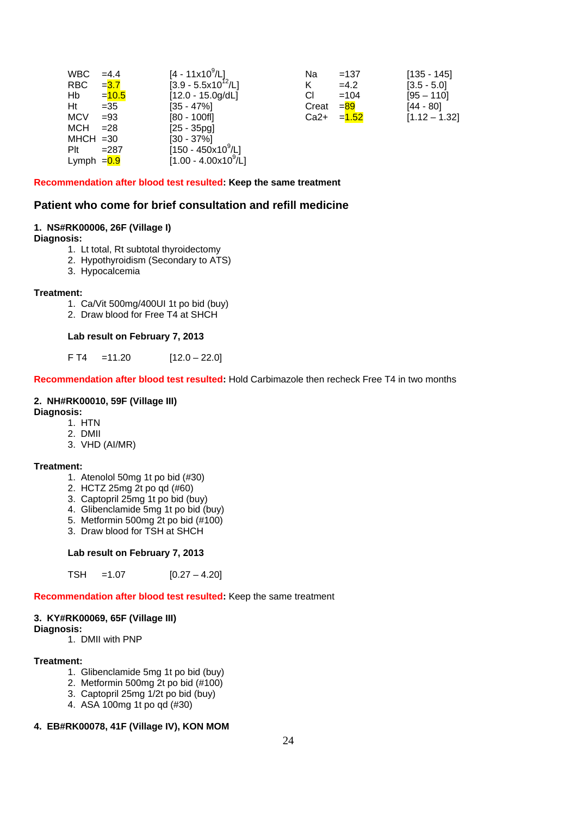| <b>WBC</b>    | $=4.4$   | $[4 - 11 \times 10^9/L]$             | Na     | $=137$  | $[135 - 145]$   |
|---------------|----------|--------------------------------------|--------|---------|-----------------|
| RBC.          | $= 3.7$  | $[3.9 - 5.5x10^{12}/L]$              | K      | $=4.2$  | $[3.5 - 5.0]$   |
| Hb            | $= 10.5$ | $[12.0 - 15.0g/dL]$                  | СI     | $=104$  | $[95 - 110]$    |
| Ht            | $=35$    | $[35 - 47\%]$                        | Creat  | $= 89$  | $[44 - 80]$     |
| <b>MCV</b>    | $= 93$   | $[80 - 100f]$                        | $Ca2+$ | $=1.52$ | $[1.12 - 1.32]$ |
| <b>MCH</b>    | $= 28$   | $[25 - 35pg]$                        |        |         |                 |
| $MHCH = 30$   |          | $[30 - 37\%]$                        |        |         |                 |
| Plt           | $= 287$  | $[150 - 450x10^9/L]$                 |        |         |                 |
| Lymph $= 0.9$ |          | $[1.00 - 4.00 \times 10^9/\text{L}]$ |        |         |                 |

#### **Recommendation after blood test resulted: Keep the same treatment**

#### **Patient who come for brief consultation and refill medicine**

#### **1. NS#RK00006, 26F (Village I)**

#### **Diagnosis:**

- 1. Lt total, Rt subtotal thyroidectomy
- 2. Hypothyroidism (Secondary to ATS)
- 3. Hypocalcemia

#### **Treatment:**

- 1. Ca/Vit 500mg/400UI 1t po bid (buy)
- 2. Draw blood for Free T4 at SHCH

#### **Lab result on February 7, 2013**

 $F T4 = 11.20$  [12.0 – 22.0]

**Recommendation after blood test resulted:** Hold Carbimazole then recheck Free T4 in two months

# **2. NH#RK00010, 59F (Village III)**

#### **Diagnosis:**

- 1. HTN
- 2. DMII
- 3. VHD (AI/MR)

#### **Treatment:**

- 1. Atenolol 50mg 1t po bid (#30)
- 2. HCTZ 25mg 2t po qd (#60)
- 3. Captopril 25mg 1t po bid (buy)
- 4. Glibenclamide 5mg 1t po bid (buy)
- 5. Metformin 500mg 2t po bid (#100)
- 3. Draw blood for TSH at SHCH

#### **Lab result on February 7, 2013**

TSH =  $1.07$  [0.27 –  $4.20$ ]

**Recommendation after blood test resulted:** Keep the same treatment

#### **3. KY#RK00069, 65F (Village III)**

**Diagnosis:** 

1. DMII with PNP

#### **Treatment:**

- 1. Glibenclamide 5mg 1t po bid (buy)
- 2. Metformin 500mg 2t po bid (#100)
- 3. Captopril 25mg 1/2t po bid (buy)
- 4. ASA 100mg 1t po qd (#30)

# **4. EB#RK00078, 41F (Village IV), KON MOM**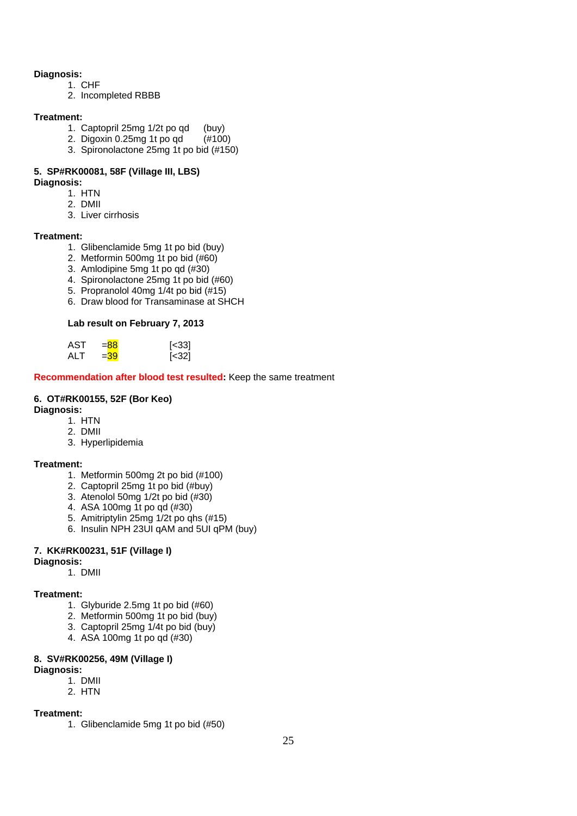#### **Diagnosis:**

- 1. CHF
- 2. Incompleted RBBB

#### **Treatment:**

- 1. Captopril 25mg 1/2t po qd (buy)
- 2. Digoxin 0.25mg 1t po qd (#100)
- 3. Spironolactone 25mg 1t po bid (#150)

# **5. SP#RK00081, 58F (Village III, LBS)**

#### **Diagnosis:**

- 1. HTN
- 2. DMII
	- 3. Liver cirrhosis

#### **Treatment:**

- 1. Glibenclamide 5mg 1t po bid (buy)
- 2. Metformin 500mg 1t po bid (#60)
- 3. Amlodipine 5mg 1t po qd (#30)
- 4. Spironolactone 25mg 1t po bid (#60)
- 5. Propranolol 40mg 1/4t po bid (#15)
- 6. Draw blood for Transaminase at SHCH

#### **Lab result on February 7, 2013**

| AST | $= 88$ | [<33] |
|-----|--------|-------|
| ALT | $=39$  | [<32] |

**Recommendation after blood test resulted:** Keep the same treatment

# **6. OT#RK00155, 52F (Bor Keo)**

#### **Diagnosis:**

- 1. HTN
- 2. DMII
- 3. Hyperlipidemia

# **Treatment:**

- 1. Metformin 500mg 2t po bid (#100)
- 2. Captopril 25mg 1t po bid (#buy)
- 3. Atenolol 50mg 1/2t po bid (#30)
- 4. ASA 100mg 1t po qd (#30)
- 5. Amitriptylin 25mg 1/2t po qhs (#15)
- 6. Insulin NPH 23UI qAM and 5UI qPM (buy)

#### **7. KK#RK00231, 51F (Village I)**

- **Diagnosis:** 
	- 1. DMII

#### **Treatment:**

- 1. Glyburide 2.5mg 1t po bid (#60)
- 2. Metformin 500mg 1t po bid (buy)
- 3. Captopril 25mg 1/4t po bid (buy)
- 4. ASA 100mg 1t po qd (#30)

### **8. SV#RK00256, 49M (Village I)**

#### **Diagnosis:**

- 1. DMII 2. HTN
- 

#### **Treatment:**

1. Glibenclamide 5mg 1t po bid (#50)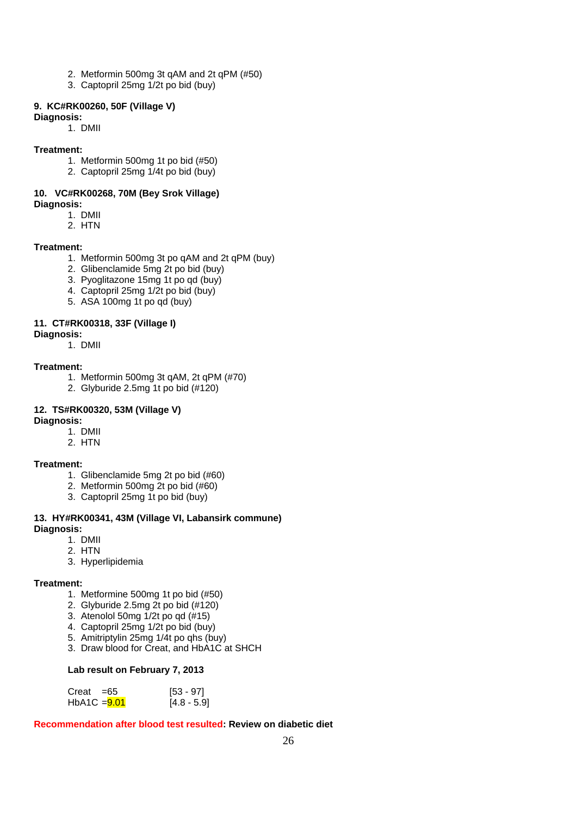- 2. Metformin 500mg 3t qAM and 2t qPM (#50)
- 3. Captopril 25mg 1/2t po bid (buy)

#### **9. KC#RK00260, 50F (Village V)**

**Diagnosis:** 

1. DMII

#### **Treatment:**

- 1. Metformin 500mg 1t po bid (#50)
- 2. Captopril 25mg 1/4t po bid (buy)

#### **10. VC#RK00268, 70M (Bey Srok Village) Diagnosis:**

- 1. DMII 2. HTN
- 

#### **Treatment:**

- 1. Metformin 500mg 3t po qAM and 2t qPM (buy)
- 2. Glibenclamide 5mg 2t po bid (buy)
- 3. Pyoglitazone 15mg 1t po qd (buy)
- 4. Captopril 25mg 1/2t po bid (buy)
- 5. ASA 100mg 1t po qd (buy)

#### **11. CT#RK00318, 33F (Village I)**

#### **Diagnosis:**

1. DMII

#### **Treatment:**

- 1. Metformin 500mg 3t qAM, 2t qPM (#70)
- 2. Glyburide 2.5mg 1t po bid (#120)

#### **12. TS#RK00320, 53M (Village V)**

#### **Diagnosis:**

- 1. DMII
- 2. HTN

#### **Treatment:**

- 1. Glibenclamide 5mg 2t po bid (#60)
- 2. Metformin 500mg 2t po bid (#60)
- 3. Captopril 25mg 1t po bid (buy)

#### **13. HY#RK00341, 43M (Village VI, Labansirk commune) Diagnosis:**

- 1. DMII
- 2. HTN
- 3. Hyperlipidemia

#### **Treatment:**

- 1. Metformine 500mg 1t po bid (#50)
- 2. Glyburide 2.5mg 2t po bid (#120)
- 3. Atenolol 50mg 1/2t po qd (#15)
- 4. Captopril 25mg 1/2t po bid (buy)
- 5. Amitriptylin 25mg 1/4t po qhs (buy)
- 3. Draw blood for Creat, and HbA1C at SHCH

#### **Lab result on February 7, 2013**

| $Creat = 65$   | [53 - 97]     |
|----------------|---------------|
| $HbA1C = 9.01$ | $[4.8 - 5.9]$ |

#### **Recommendation after blood test resulted: Review on diabetic diet**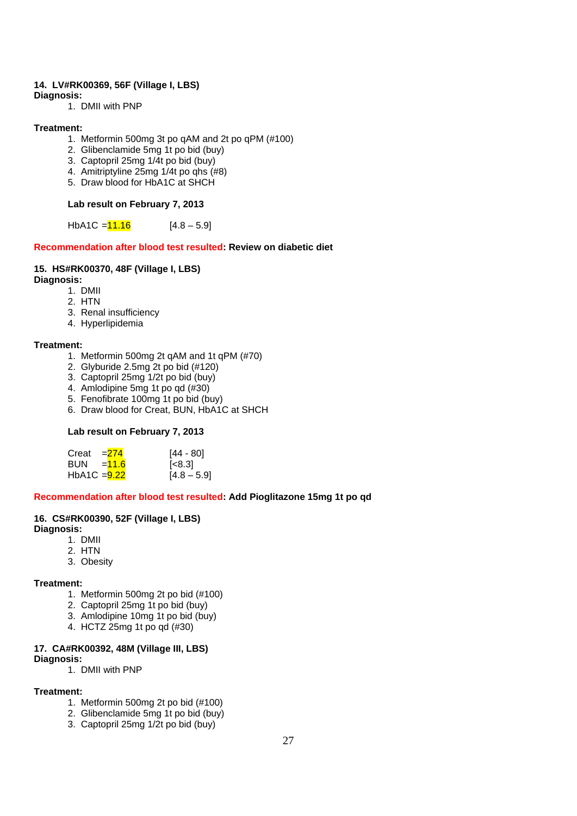#### **14. LV#RK00369, 56F (Village I, LBS)**

#### **Diagnosis:**

1. DMII with PNP

#### **Treatment:**

- 1. Metformin 500mg 3t po qAM and 2t po qPM (#100)
- 2. Glibenclamide 5mg 1t po bid (buy)
- 3. Captopril 25mg 1/4t po bid (buy)
- 4. Amitriptyline 25mg 1/4t po qhs (#8)
- 5. Draw blood for HbA1C at SHCH

#### **Lab result on February 7, 2013**

HbA1C =  $11.16$  [4.8 – 5.9]

#### **Recommendation after blood test resulted: Review on diabetic diet**

#### **15. HS#RK00370, 48F (Village I, LBS)**

#### **Diagnosis:**

- 1. DMII
- 2. HTN
- 3. Renal insufficiency
- 4. Hyperlipidemia

#### **Treatment:**

- 1. Metformin 500mg 2t qAM and 1t qPM (#70)
- 2. Glyburide 2.5mg 2t po bid (#120)
- 3. Captopril 25mg 1/2t po bid (buy)
- 4. Amlodipine 5mg 1t po qd (#30)
- 5. Fenofibrate 100mg 1t po bid (buy)
- 6. Draw blood for Creat, BUN, HbA1C at SHCH

#### **Lab result on February 7, 2013**

| Creat $=274$  | [44 - 80]     |
|---------------|---------------|
| BUN = $11.6$  | [<8.3]        |
| HbA1C $=9.22$ | $[4.8 - 5.9]$ |

#### **Recommendation after blood test resulted: Add Pioglitazone 15mg 1t po qd**

#### **16. CS#RK00390, 52F (Village I, LBS)**

#### **Diagnosis:**

- 1. DMII
- 2. HTN
- 3. Obesity

#### **Treatment:**

- 1. Metformin 500mg 2t po bid (#100)
- 2. Captopril 25mg 1t po bid (buy)
- 3. Amlodipine 10mg 1t po bid (buy)
- 4. HCTZ 25mg 1t po qd (#30)

#### **17. CA#RK00392, 48M (Village III, LBS)**

#### **Diagnosis:**

1. DMII with PNP

#### **Treatment:**

- 1. Metformin 500mg 2t po bid (#100)
- 2. Glibenclamide 5mg 1t po bid (buy)
- 3. Captopril 25mg 1/2t po bid (buy)